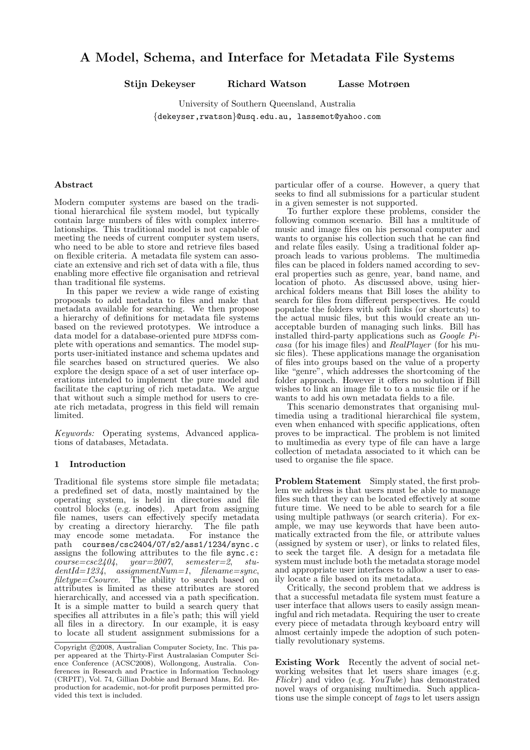# A Model, Schema, and Interface for Metadata File Systems

Stijn Dekeyser Richard Watson Lasse Motrøen

University of Southern Queensland, Australia {dekeyser,rwatson}@usq.edu.au, lassemot@yahoo.com

# Abstract

Modern computer systems are based on the traditional hierarchical file system model, but typically contain large numbers of files with complex interrelationships. This traditional model is not capable of meeting the needs of current computer system users, who need to be able to store and retrieve files based on flexible criteria. A metadata file system can associate an extensive and rich set of data with a file, thus enabling more effective file organisation and retrieval than traditional file systems.

In this paper we review a wide range of existing proposals to add metadata to files and make that metadata available for searching. We then propose a hierarchy of definitions for metadata file systems based on the reviewed prototypes. We introduce a data model for a database-oriented pure MDFSs complete with operations and semantics. The model supports user-initiated instance and schema updates and file searches based on structured queries. We also explore the design space of a set of user interface operations intended to implement the pure model and facilitate the capturing of rich metadata. We argue that without such a simple method for users to create rich metadata, progress in this field will remain limited.

Keywords: Operating systems, Advanced applications of databases, Metadata.

## 1 Introduction

Traditional file systems store simple file metadata; a predefined set of data, mostly maintained by the operating system, is held in directories and file control blocks (e.g. inodes). Apart from assigning file names, users can effectively specify metadata by creating a directory hierarchy. The file path may encode some metadata. For instance the may encode some metadata. For instance the path courses/csc2404/07/s2/ass1/1234/sync.c assigns the following attributes to the file sync.c:  $course = csc2404$ ,  $year = 2007$ ,  $semester = 2$ ,  $stu$  $dentld=1234$ , assignmentNum=1, filename=sync, filetype=Csource. The ability to search based on attributes is limited as these attributes are stored hierarchically, and accessed via a path specification. It is a simple matter to build a search query that specifies all attributes in a file's path; this will yield all files in a directory. In our example, it is easy to locate all student assignment submissions for a

particular offer of a course. However, a query that seeks to find all submissions for a particular student in a given semester is not supported.

To further explore these problems, consider the following common scenario. Bill has a multitude of music and image files on his personal computer and wants to organise his collection such that he can find and relate files easily. Using a traditional folder approach leads to various problems. The multimedia files can be placed in folders named according to several properties such as genre, year, band name, and location of photo. As discussed above, using hierarchical folders means that Bill loses the ability to search for files from different perspectives. He could populate the folders with soft links (or shortcuts) to the actual music files, but this would create an unacceptable burden of managing such links. Bill has installed third-party applications such as Google Picasa (for his image files) and RealPlayer (for his music files). These applications manage the organisation of files into groups based on the value of a property like "genre", which addresses the shortcoming of the folder approach. However it offers no solution if Bill wishes to link an image file to to a music file or if he wants to add his own metadata fields to a file.

This scenario demonstrates that organising multimedia using a traditional hierarchical file system, even when enhanced with specific applications, often proves to be impractical. The problem is not limited to multimedia as every type of file can have a large collection of metadata associated to it which can be used to organise the file space.

Problem Statement Simply stated, the first problem we address is that users must be able to manage files such that they can be located effectively at some future time. We need to be able to search for a file using multiple pathways (or search criteria). For example, we may use keywords that have been automatically extracted from the file, or attribute values (assigned by system or user), or links to related files, to seek the target file. A design for a metadata file system must include both the metadata storage model and appropriate user interfaces to allow a user to easily locate a file based on its metadata.

Critically, the second problem that we address is that a successful metadata file system must feature a user interface that allows users to easily assign meaningful and rich metadata. Requiring the user to create every piece of metadata through keyboard entry will almost certainly impede the adoption of such potentially revolutionary systems.

Existing Work Recently the advent of social networking websites that let users share images (e.g.  $Flickr)$  and video (e.g.  $YouTube)$  has demonstrated novel ways of organising multimedia. Such applications use the simple concept of tags to let users assign

Copyright ©2008, Australian Computer Society, Inc. This paper appeared at the Thirty-First Australasian Computer Science Conference (ACSC2008), Wollongong, Australia. Conferences in Research and Practice in Information Technology (CRPIT), Vol. 74, Gillian Dobbie and Bernard Mans, Ed. Reproduction for academic, not-for profit purposes permitted provided this text is included.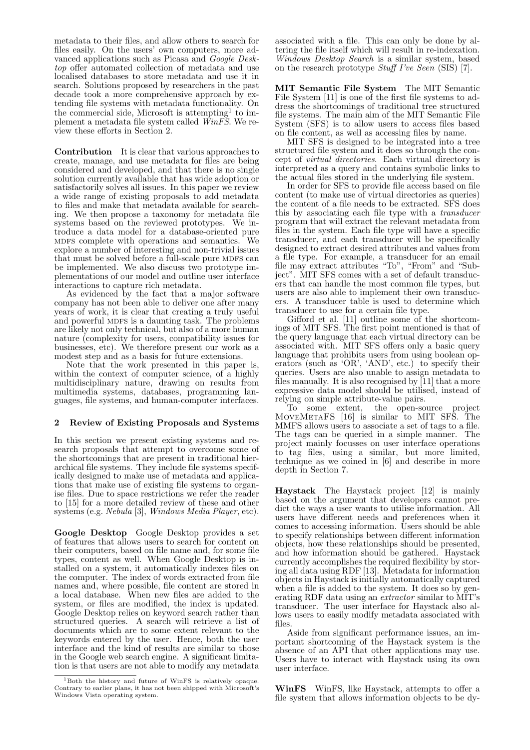metadata to their files, and allow others to search for files easily. On the users' own computers, more advanced applications such as Picasa and Google Desktop offer automated collection of metadata and use localised databases to store metadata and use it in search. Solutions proposed by researchers in the past decade took a more comprehensive approach by extending file systems with metadata functionality. On the commercial side, Microsoft is attempting<sup>1</sup> to implement a metadata file system called  $\hat{W}$ inFS. We review these efforts in Section 2.

Contribution It is clear that various approaches to create, manage, and use metadata for files are being considered and developed, and that there is no single solution currently available that has wide adoption or satisfactorily solves all issues. In this paper we review a wide range of existing proposals to add metadata to files and make that metadata available for searching. We then propose a taxonomy for metadata file systems based on the reviewed prototypes. We introduce a data model for a database-oriented pure MDFS complete with operations and semantics. We explore a number of interesting and non-trivial issues that must be solved before a full-scale pure MDFS can be implemented. We also discuss two prototype implementations of our model and outline user interface interactions to capture rich metadata.

As evidenced by the fact that a major software company has not been able to deliver one after many years of work, it is clear that creating a truly useful and powerful MDFS is a daunting task. The problems are likely not only technical, but also of a more human nature (complexity for users, compatibility issues for businesses, etc). We therefore present our work as a modest step and as a basis for future extensions.

Note that the work presented in this paper is, within the context of computer science, of a highly multidisciplinary nature, drawing on results from multimedia systems, databases, programming languages, file systems, and human-computer interfaces.

# 2 Review of Existing Proposals and Systems

In this section we present existing systems and research proposals that attempt to overcome some of the shortcomings that are present in traditional hierarchical file systems. They include file systems specifically designed to make use of metadata and applications that make use of existing file systems to organise files. Due to space restrictions we refer the reader to [15] for a more detailed review of these and other systems (e.g. Nebula [3], Windows Media Player, etc).

Google Desktop Google Desktop provides a set of features that allows users to search for content on their computers, based on file name and, for some file types, content as well. When Google Desktop is installed on a system, it automatically indexes files on the computer. The index of words extracted from file names and, where possible, file content are stored in a local database. When new files are added to the system, or files are modified, the index is updated. Google Desktop relies on keyword search rather than structured queries. A search will retrieve a list of documents which are to some extent relevant to the keywords entered by the user. Hence, both the user interface and the kind of results are similar to those in the Google web search engine. A significant limitation is that users are not able to modify any metadata associated with a file. This can only be done by altering the file itself which will result in re-indexation. Windows Desktop Search is a similar system, based on the research prototype Stuff I've Seen (SIS) [7].

MIT Semantic File System The MIT Semantic File System [11] is one of the first file systems to address the shortcomings of traditional tree structured file systems. The main aim of the MIT Semantic File System (SFS) is to allow users to access files based on file content, as well as accessing files by name.

MIT SFS is designed to be integrated into a tree structured file system and it does so through the concept of virtual directories. Each virtual directory is interpreted as a query and contains symbolic links to the actual files stored in the underlying file system.

In order for SFS to provide file access based on file content (to make use of virtual directories as queries) the content of a file needs to be extracted. SFS does this by associating each file type with a transducer program that will extract the relevant metadata from files in the system. Each file type will have a specific transducer, and each transducer will be specifically designed to extract desired attributes and values from a file type. For example, a transducer for an email file may extract attributes "To", "From" and "Subject". MIT SFS comes with a set of default transducers that can handle the most common file types, but users are also able to implement their own transducers. A transducer table is used to determine which transducer to use for a certain file type.

Gifford et al. [11] outline some of the shortcomings of MIT SFS. The first point mentioned is that of the query language that each virtual directory can be associated with. MIT SFS offers only a basic query language that prohibits users from using boolean operators (such as 'OR', 'AND', etc.) to specify their queries. Users are also unable to assign metadata to files manually. It is also recognised by  $[11]$  that a more expressive data model should be utilised, instead of relying on simple attribute-value pairs.

To some extent, the open-source project MoveMetaFS [16] is similar to MIT SFS. The MMFS allows users to associate a set of tags to a file. The tags can be queried in a simple manner. The project mainly focusses on user interface operations to tag files, using a similar, but more limited, technique as we coined in [6] and describe in more depth in Section 7.

Haystack The Haystack project [12] is mainly based on the argument that developers cannot predict the ways a user wants to utilise information. All users have different needs and preferences when it comes to accessing information. Users should be able to specify relationships between different information objects, how these relationships should be presented, and how information should be gathered. Haystack currently accomplishes the required flexibility by storing all data using RDF [13]. Metadata for information objects in Haystack is initially automatically captured when a file is added to the system. It does so by generating RDF data using an extractor similar to MIT's transducer. The user interface for Haystack also allows users to easily modify metadata associated with files.

Aside from significant performance issues, an important shortcoming of the Haystack system is the absence of an API that other applications may use. Users have to interact with Haystack using its own user interface.

WinFS WinFS, like Haystack, attempts to offer a file system that allows information objects to be dy-

<sup>1</sup>Both the history and future of WinFS is relatively opaque. Contrary to earlier plans, it has not been shipped with Microsoft's Windows Vista operating system.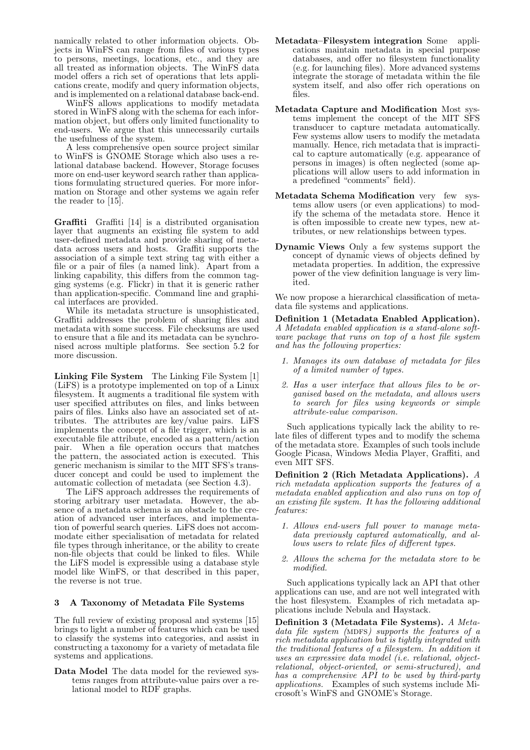namically related to other information objects. Objects in WinFS can range from files of various types to persons, meetings, locations, etc., and they are all treated as information objects. The WinFS data model offers a rich set of operations that lets applications create, modify and query information objects, and is implemented on a relational database back-end.

WinFS allows applications to modify metadata stored in WinFS along with the schema for each information object, but offers only limited functionality to end-users. We argue that this unnecessarily curtails the usefulness of the system.

A less comprehensive open source project similar to WinFS is GNOME Storage which also uses a relational database backend. However, Storage focuses more on end-user keyword search rather than applications formulating structured queries. For more information on Storage and other systems we again refer the reader to [15].

Graffiti Graffiti [14] is a distributed organisation layer that augments an existing file system to add user-defined metadata and provide sharing of metadata across users and hosts. Graffiti supports the association of a simple text string tag with either a file or a pair of files (a named link). Apart from a linking capability, this differs from the common tagging systems (e.g. Flickr) in that it is generic rather than application-specific. Command line and graphical interfaces are provided.

While its metadata structure is unsophisticated, Graffiti addresses the problem of sharing files and metadata with some success. File checksums are used to ensure that a file and its metadata can be synchronised across multiple platforms. See section 5.2 for more discussion.

Linking File System The Linking File System [1] (LiFS) is a prototype implemented on top of a Linux filesystem. It augments a traditional file system with user specified attributes on files, and links between pairs of files. Links also have an associated set of attributes. The attributes are key/value pairs. LiFS implements the concept of a file trigger, which is an executable file attribute, encoded as a pattern/action pair. When a file operation occurs that matches the pattern, the associated action is executed. This generic mechanism is similar to the MIT SFS's transducer concept and could be used to implement the automatic collection of metadata (see Section 4.3).

The LiFS approach addresses the requirements of storing arbitrary user metadata. However, the absence of a metadata schema is an obstacle to the creation of advanced user interfaces, and implementation of powerful search queries. LiFS does not accommodate either specialisation of metadata for related file types through inheritance, or the ability to create non-file objects that could be linked to files. While the LiFS model is expressible using a database style model like WinFS, or that described in this paper, the reverse is not true.

# 3 A Taxonomy of Metadata File Systems

The full review of existing proposal and systems [15] brings to light a number of features which can be used to classify the systems into categories, and assist in constructing a taxonomy for a variety of metadata file systems and applications.

Data Model The data model for the reviewed systems ranges from attribute-value pairs over a relational model to RDF graphs.

- Metadata–Filesystem integration Some applications maintain metadata in special purpose databases, and offer no filesystem functionality (e.g. for launching files). More advanced systems integrate the storage of metadata within the file system itself, and also offer rich operations on files.
- Metadata Capture and Modification Most systems implement the concept of the MIT SFS transducer to capture metadata automatically. Few systems allow users to modify the metadata manually. Hence, rich metadata that is impractical to capture automatically (e.g. appearance of persons in images) is often neglected (some applications will allow users to add information in a predefined "comments" field).
- Metadata Schema Modification very few systems allow users (or even applications) to modify the schema of the metadata store. Hence it is often impossible to create new types, new attributes, or new relationships between types.
- Dynamic Views Only a few systems support the concept of dynamic views of objects defined by metadata properties. In addition, the expressive power of the view definition language is very limited.

We now propose a hierarchical classification of metadata file systems and applications.

Definition 1 (Metadata Enabled Application). A Metadata enabled application is a stand-alone software package that runs on top of a host file system and has the following properties:

- 1. Manages its own database of metadata for files of a limited number of types.
- 2. Has a user interface that allows files to be organised based on the metadata, and allows users to search for files using keywords or simple attribute-value comparison.

Such applications typically lack the ability to relate files of different types and to modify the schema of the metadata store. Examples of such tools include Google Picasa, Windows Media Player, Graffiti, and even MIT SFS.

Definition 2 (Rich Metadata Applications). A rich metadata application supports the features of a metadata enabled application and also runs on top of an existing file system. It has the following additional features:

- 1. Allows end-users full power to manage metadata previously captured automatically, and allows users to relate files of different types.
- 2. Allows the schema for the metadata store to be modified.

Such applications typically lack an API that other applications can use, and are not well integrated with the host filesystem. Examples of rich metadata applications include Nebula and Haystack.

Definition 3 (Metadata File Systems). A Metadata file system (MDFS) supports the features of a rich metadata application but is tightly integrated with the traditional features of a filesystem. In addition it uses an expressive data model (i.e. relational, objectrelational, object-oriented, or semi-structured), and has a comprehensive API to be used by third-party applications. Examples of such systems include Microsoft's WinFS and GNOME's Storage.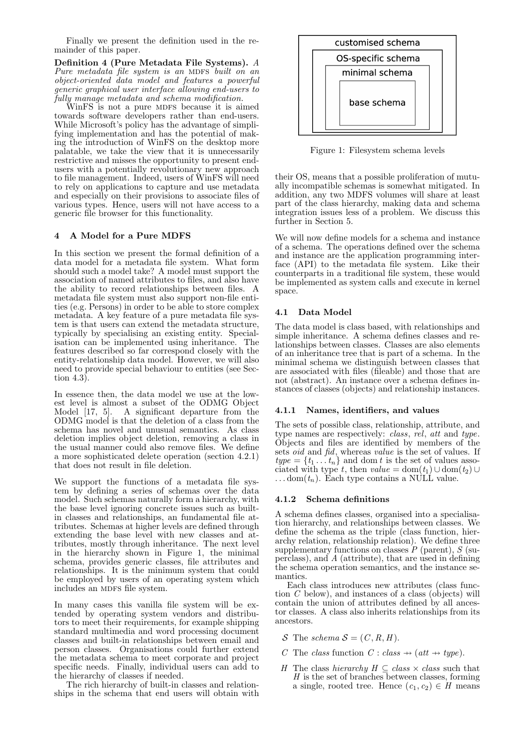Finally we present the definition used in the remainder of this paper.

Definition 4 (Pure Metadata File Systems). A Pure metadata file system is an MDFS built on an object-oriented data model and features a powerful generic graphical user interface allowing end-users to fully manage metadata and schema modification.

WinFS is not a pure MDFS because it is aimed towards software developers rather than end-users. While Microsoft's policy has the advantage of simplifying implementation and has the potential of making the introduction of WinFS on the desktop more palatable, we take the view that it is unnecessarily restrictive and misses the opportunity to present endusers with a potentially revolutionary new approach to file management. Indeed, users of WinFS will need to rely on applications to capture and use metadata and especially on their provisions to associate files of various types. Hence, users will not have access to a generic file browser for this functionality.

# 4 A Model for a Pure MDFS

In this section we present the formal definition of a data model for a metadata file system. What form should such a model take? A model must support the association of named attributes to files, and also have the ability to record relationships between files. A metadata file system must also support non-file entities (e.g. Persons) in order to be able to store complex metadata. A key feature of a pure metadata file system is that users can extend the metadata structure, typically by specialising an existing entity. Specialisation can be implemented using inheritance. The features described so far correspond closely with the entity-relationship data model. However, we will also need to provide special behaviour to entities (see Section  $4.3$ ).

In essence then, the data model we use at the lowest level is almost a subset of the ODMG Object Model [17, 5]. A significant departure from the ODMG model is that the deletion of a class from the schema has novel and unusual semantics. As class deletion implies object deletion, removing a class in the usual manner could also remove files. We define a more sophisticated delete operation (section 4.2.1) that does not result in file deletion.

We support the functions of a metadata file system by defining a series of schemas over the data model. Such schemas naturally form a hierarchy, with the base level ignoring concrete issues such as builtin classes and relationships, an fundamental file attributes. Schemas at higher levels are defined through extending the base level with new classes and attributes, mostly through inheritance. The next level in the hierarchy shown in Figure 1, the minimal schema, provides generic classes, file attributes and relationships. It is the minimum system that could be employed by users of an operating system which includes an MDFS file system.

In many cases this vanilla file system will be extended by operating system vendors and distributors to meet their requirements, for example shipping standard multimedia and word processing document classes and built-in relationships between email and person classes. Organisations could further extend the metadata schema to meet corporate and project specific needs. Finally, individual users can add to the hierarchy of classes if needed.

The rich hierarchy of built-in classes and relationships in the schema that end users will obtain with



Figure 1: Filesystem schema levels

their OS, means that a possible proliferation of mutually incompatible schemas is somewhat mitigated. In addition, any two MDFS volumes will share at least part of the class hierarchy, making data and schema integration issues less of a problem. We discuss this further in Section 5.

We will now define models for a schema and instance of a schema. The operations defined over the schema and instance are the application programming interface (API) to the metadata file system. Like their counterparts in a traditional file system, these would be implemented as system calls and execute in kernel space.

# 4.1 Data Model

The data model is class based, with relationships and simple inheritance. A schema defines classes and relationships between classes. Classes are also elements of an inheritance tree that is part of a schema. In the minimal schema we distinguish between classes that are associated with files (fileable) and those that are not (abstract). An instance over a schema defines instances of classes (objects) and relationship instances.

## 4.1.1 Names, identifiers, and values

The sets of possible class, relationship, attribute, and type names are respectively: *class, rel, att and type.* Objects and files are identified by members of the sets *oid* and *fid*, whereas *value* is the set of values. If  $type = \{t_1 \ldots t_n\}$  and dom t is the set of values associated with type t, then value = dom $(t_1) \cup$  dom $(t_2) \cup$  $\ldots$  dom $(t_n)$ . Each type contains a NULL value.

# 4.1.2 Schema definitions

A schema defines classes, organised into a specialisation hierarchy, and relationships between classes. We define the schema as the triple (class function, hierarchy relation, relationship relation). We define three supplementary functions on classes  $P$  (parent),  $S$  (superclass), and A (attribute), that are used in defining the schema operation semantics, and the instance semantics.

Each class introduces new attributes (class function C below), and instances of a class (objects) will contain the union of attributes defined by all ancestor classes. A class also inherits relationships from its ancestors.

- S The schema  $S = (C, R, H)$ .
- C The class function  $C : class \rightarrow (att \rightarrow type).$
- H The class hierarchy  $H \subseteq class \times class$  such that  $H$  is the set of branches between classes, forming a single, rooted tree. Hence  $(c_1, c_2) \in H$  means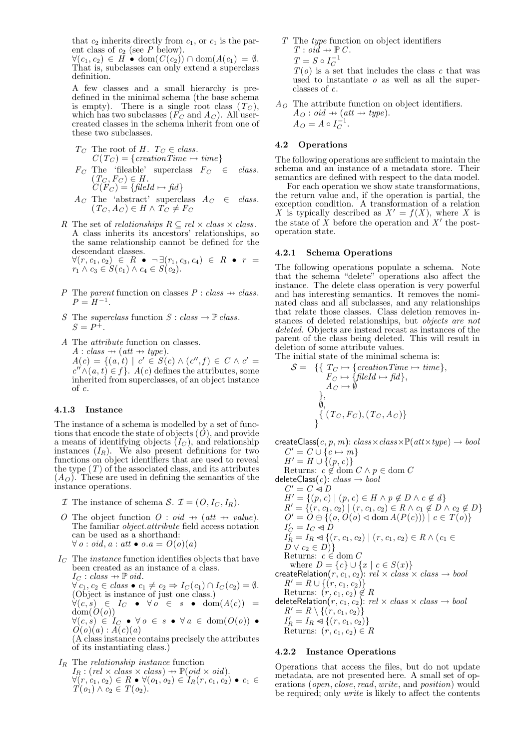that  $c_2$  inherits directly from  $c_1$ , or  $c_1$  is the parent class of  $c_2$  (see P below).

 $\forall (c_1, c_2) \in H \bullet \text{dom}(C(c_2)) \cap \text{dom}(A(c_1) = \emptyset.$ That is, subclasses can only extend a superclass definition.

A few classes and a small hierarchy is predefined in the minimal schema (the base schema is empty). There is a single root class  $(T_C)$ , which has two subclasses  $(F_C \text{ and } A_C)$ . All usercreated classes in the schema inherit from one of these two subclasses.

$$
T_C
$$
 The root of  $H$ .  $T_C \in class$ .  
\n $C(T_C) = \{creationTime \mapsto time\}$   
\n $F_C$  The 'filashle' numerless  $F_C \subseteq \{else\}^C$ 

- $F_C$  The 'fileable' superclass  $F_C \in class$ .  $(T_C, F_C) \in H$ .  $C(F_C) = \{fileId \mapsto fid\}$
- $A_C$  The 'abstract' superclass  $A_C \in class$ .  $(T_C, A_C) \in H \wedge T_C \neq F_C$
- R The set of *relationships*  $R \subseteq rel \times class \times class$ . A class inherits its ancestors' relationships, so the same relationship cannot be defined for the descendant classes.  $\forall (r, c_1, c_2) \in R \bullet \neg \exists (r_1, c_3, c_4) \in R \bullet r =$  $r_1 \wedge c_3 \in S(c_1) \wedge c_4 \in S(c_2).$
- P The parent function on classes  $P : class \rightarrow class$ .  $P = H^{-1}$ .
- S The superclass function  $S : class \rightarrow \mathbb{P}$  class.  $S = P^{+}.$
- A The attribute function on classes.  $A: class \rightarrow (att \rightarrow type).$  $A(c) = \{(a, t) | c' \in S(c) \wedge (c'', t) \in C \wedge c' =$  $c'' \wedge (a, t) \in f$ .  $A(c)$  defines the attributes, some inherited from superclasses, of an object instance of c.

## 4.1.3 Instance

The instance of a schema is modelled by a set of functions that encode the state of objects  $(\tilde{O})$ , and provide a means of identifying objects  $(I_C)$ , and relationship instances  $(I_R)$ . We also present definitions for two functions on object identifiers that are used to reveal the type  $(T)$  of the associated class, and its attributes  $(A<sub>O</sub>)$ . These are used in defining the semantics of the instance operations.

 $\mathcal I$  The instance of schema S.  $\mathcal I = (O, I_C, I_R)$ .

- The object function  $O : \text{oid} \rightarrow (\text{att} \rightarrow \text{value}).$ The familiar object.attribute field access notation can be used as a shorthand:  $\forall o : \text{oid}, a : \text{att} \bullet o.a = O(o)(a)$
- $I_{C}$  The *instance* function identifies objects that have been created as an instance of a class.  $I_C : class \rightarrow \mathbb{P}$  oid.  $\forall c_1, c_2 \in class \bullet c_1 \neq c_2 \Rightarrow I_C(c_1) \cap I_C(c_2) = \emptyset.$ (Object is instance of just one class.)  $\forall (c, s) \in I_C \bullet \forall o \in s \bullet \text{dom}(A(c)) =$  $dom(O(o))$  $\forall (c, s) \in I_C \bullet \forall o \in s \bullet \forall a \in \text{dom}(O(o)) \bullet$  $\tilde{O}(o)(a)$ :  $\tilde{A}(c)(a)$ (A class instance contains precisely the attributes of its instantiating class.)

 $I_R$  The *relationship instance* function  $I_R : (rel \times class \times class) \rightarrow \mathbb{P}(oid \times oid).$ 

 $\forall (r, c_1, c_2) \in R \bullet \forall (o_1, o_2) \in I_R(r, c_1, c_2) \bullet c_1 \in$  $T(o_1) \wedge c_2 \in T(o_2).$ 

T The type function on object identifiers  $T : \text{oid} \rightarrow \mathbb{P} C$ .

 $T = S \circ I_C^{-1}$ 

 $T(o)$  is a set that includes the class c that was used to instantiate  $o$  as well as all the superclasses of c.

 $A_{\Omega}$  The attribute function on object identifiers.  $A_O$  : oid  $\rightarrow$  (att  $\rightarrow$  type).  $A_O = A \circ I_C^{-1}.$ 

# 4.2 Operations

The following operations are sufficient to maintain the schema and an instance of a metadata store. Their semantics are defined with respect to the data model.

For each operation we show state transformations, the return value and, if the operation is partial, the exception condition. A transformation of a relation X is typically described as  $X' = f(X)$ , where X is the state of  $X$  before the operation and  $X'$  the postoperation state.

## 4.2.1 Schema Operations

The following operations populate a schema. Note that the schema "delete" operations also affect the instance. The delete class operation is very powerful and has interesting semantics. It removes the nominated class and all subclasses, and any relationships that relate those classes. Class deletion removes instances of deleted relationships, but objects are not deleted. Objects are instead recast as instances of the parent of the class being deleted. This will result in deletion of some attribute values.

The initial state of the minimal schema is:

$$
S = \{ \{ T_C \mapsto \{creationTime \mapsto time\}, \\ F_C \mapsto \{fileId \mapsto fid\}, \\ A_C \mapsto \emptyset \}, \\ \emptyset, \\ \{ (T_C, F_C), (T_C, A_C) \}
$$

createClass(c, p, m):  $class \times class \times \mathbb{P}(att \times type) \rightarrow bool$  $C' = C \cup \{c \mapsto m\}$ 

$$
H' = H \cup \{(p, c)\}
$$

Returns:  $c \notin \text{dom } C \wedge p \in \text{dom } C$ 

deleteClass $(c)$ :  $class \rightarrow bool$  $C' = C \triangleleft D$  $H' = \{(p, c) \mid (p, c) \in H \wedge p \not\in D \wedge c \not\in d\}$  $R' = \{(r, c_1, c_2) \mid (r, c_1, c_2) \in R \land c_1 \notin D \land c_2 \notin D\}$  $O' = O \oplus \{ (o, O(o) \triangleleft \text{ dom } A(P(c))) \mid c \in T(o) \}$  $I'_C = I_C \triangleleft D$  $I_R^{\gamma} = I_R \triangleleft \{ (r, c_1, c_2) \mid (r, c_1, c_2) \in R \wedge (c_1 \in$  $D \vee c_2 \in D$ } Returns:  $c \in \text{dom } C$ where  $D = \{c\} \cup \{x \mid c \in S(x)\}\$  $\textsf{createRelation}(r, c_1, c_2) \text{: } rel \times class \times class \rightarrow bool$  $R' = R \cup \{(r, c_1, c_2)\}\$ Returns:  $(r, c_1, c_2) \notin R$ deleteRelation $(r, c_1, c_2)$ :  $rel \times class \times class \rightarrow bool$  $R' = R \setminus \{(r, c_1, c_2)\}\$  $I'_R = I_R \triangleleft \{ (r, c_1, c_2) \}$ 

Returns:  $(r, c_1, c_2) \in R$ 

# 4.2.2 Instance Operations

Operations that access the files, but do not update metadata, are not presented here. A small set of operations (open, close, read, write, and position) would be required; only write is likely to affect the contents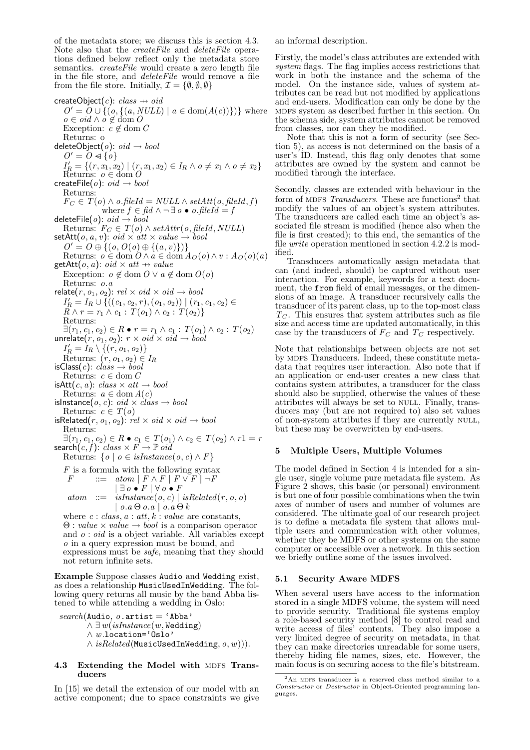of the metadata store; we discuss this is section 4.3. Note also that the createFile and deleteFile operations defined below reflect only the metadata store semantics. *createFile* would create a zero length file in the file store, and deleteFile would remove a file from the file store. Initially,  $\mathcal{I} = \{\emptyset, \emptyset, \emptyset\}$ 

createObject(c):  $class \rightarrow oid$  $O' = O \cup \{(o, \{(a, NULL) \mid a \in \text{dom}(A(c))\})\}$  where  $o \in \text{oid} \land o \notin \text{dom } O$ Exception:  $c \not\in \text{dom } C$ Returns: o deleteObject( $o$ ):  $oid \rightarrow bool$  $O' = O \triangleleft \{ o \}$  $I'_R = \{(r, x_1, x_2) \mid (r, x_1, x_2) \in I_R \land \sigma \neq x_1 \land \sigma \neq x_2\}$ Returns:  $o \in \text{dom } O$ createFile( $o$ ):  $oid \rightarrow bool$ Returns:  $F_C \in T(o) \wedge o$ .fileId = NULL  $\wedge$  setAtt(o, fileId, f) where  $f \in \text{fid} \land \neg \exists o \bullet o.\text{fileId} = f$ deleteFile( $o$ ):  $oid \rightarrow bool$ Returns:  $F_C \in T(o) \land setAttr(o, fileId, NULL)$  $setAtt(o, a, v): \text{oid} \times att \times value \rightarrow \text{bool}$  $O' = O \oplus \{(o, O(o) \oplus \{(a, v)\})\}$ Returns:  $o \in \text{dom } O \wedge a \in \text{dom } A_O(o) \wedge v : A_O(o)(a)$  $getAtt(o, a): \textit{oid} \times \textit{att} \rightarrow \textit{value}$ Exception:  $o \notin \text{dom } O \vee a \notin \text{dom } O(o)$ Returns: o.a relate $(r,\,o_1,\,o_2)$ :  $rel \times oid \times oid \rightarrow bool$  $I'_R = I_R \cup \{((c_1, c_2, r), (o_1, o_2)) | (r_1, c_1, c_2) \in$  $R \wedge r = r_1 \wedge c_1 : T(o_1) \wedge c_2 : T(o_2)$ Returns:  $\exists (r_1, c_1, c_2) \in R \bullet r = r_1 \land c_1 : T(o_1) \land c_2 : T(o_2)$ unrelate $(r, o_1, o_2)$ :  $r \times \mathit{oid} \times \mathit{oid} \rightarrow \mathit{bool}$  $I'_R = I_R \setminus \{(r, o_1, o_2)\}$ Returns:  $(r, o_1, o_2) \in I_R$ isClass(c):  $class \rightarrow bool$ Returns:  $c \in \text{dom } C$ isAtt $(c, a)$ : class  $\times$  att  $\rightarrow$  bool Returns:  $a \in \text{dom } A(c)$ isInstance(o, c): oid  $\times$  class  $\rightarrow$  bool Returns:  $c \in T(o)$ isRelated $(r, o_1, o_2)$ :  $rel \times oid \times oid \rightarrow bool$ Returns:  $\exists (r_1, c_1, c_2) \in R \bullet c_1 \in T(o_1) \land c_2 \in T(o_2) \land r1 = r$ <br>search $(c, f)$ :  $class \times F \rightarrow \mathbb{P} \text{ }oid$ Returns:  $\{o \mid o \in isInstance(o, c) \wedge F\}$ F is a formula with the following syntax<br> $F$  ::=  $atom \mid F \wedge F \mid F \vee F \mid \neg F$  $F$  ::=  $atom \mid F \wedge F \mid F \vee F \mid \neg F$  $\vert \exists o \bullet F \, \vert \, \forall o \bullet F$ 

 $atom \ ::= \ isInstance(o, c) \ | \ isRelated(r, o, o)$  $\vert \, o.a \, \Theta \, o.a \, \vert \, o.a \, \Theta \, k$ where  $c: class, a: att, k: value are constants,$  $\Theta$ : *value*  $\times$  *value*  $\rightarrow$  *bool* is a comparison operator

and  $o:oid$  is a object variable. All variables except o in a query expression must be bound, and expressions must be safe, meaning that they should not return infinite sets.

Example Suppose classes Audio and Wedding exist, as does a relationship MusicUsedInWedding. The following query returns all music by the band Abba listened to while attending a wedding in Oslo:

 $search(Audio, o. $at = 'Abba'$$  $\wedge \exists w (isInstance(w, Wedding))$ ∧ w.location='Oslo'  $\land$  is $Related(MusicUsedInWedding, o, w))).$ 

## 4.3 Extending the Model with MDFS Transducers

In [15] we detail the extension of our model with an active component; due to space constraints we give an informal description.

Firstly, the model's class attributes are extended with system flags. The flag implies access restrictions that work in both the instance and the schema of the model. On the instance side, values of system attributes can be read but not modified by applications and end-users. Modification can only be done by the mdfs system as described further in this section. On the schema side, system attributes cannot be removed from classes, nor can they be modified.

Note that this is not a form of security (see Section 5), as access is not determined on the basis of a user's ID. Instead, this flag only denotes that some attributes are owned by the system and cannot be modified through the interface.

Secondly, classes are extended with behaviour in the form of MDFS Transducers. These are functions<sup>2</sup> that modify the values of an object's system attributes. The transducers are called each time an object's associated file stream is modified (hence also when the file is first created); to this end, the semantics of the file write operation mentioned in section 4.2.2 is modified.

Transducers automatically assign metadata that can (and indeed, should) be captured without user interaction. For example, keywords for a text document, the from field of email messages, or the dimensions of an image. A transducer recursively calls the transducer of its parent class, up to the top-most class  $T<sub>C</sub>$ . This ensures that system attributes such as file size and access time are updated automatically, in this case by the transducers of  $F_C$  and  $T_C$  respectively.

Note that relationships between objects are not set by MDFS Transducers. Indeed, these constitute metadata that requires user interaction. Also note that if an application or end-user creates a new class that contains system attributes, a transducer for the class should also be supplied, otherwise the values of these attributes will always be set to NULL. Finally, transducers may (but are not required to) also set values of non-system attributes if they are currently null, but these may be overwritten by end-users.

# 5 Multiple Users, Multiple Volumes

The model defined in Section 4 is intended for a single user, single volume pure metadata file system. As Figure 2 shows, this basic (or personal) environment is but one of four possible combinations when the twin axes of number of users and number of volumes are considered. The ultimate goal of our research project is to define a metadata file system that allows multiple users and communication with other volumes, whether they be MDFS or other systems on the same computer or accessible over a network. In this section we briefly outline some of the issues involved.

# 5.1 Security Aware MDFS

When several users have access to the information stored in a single MDFS volume, the system will need to provide security. Traditional file systems employ a role-based security method [8] to control read and write access of files' contents. They also impose a very limited degree of security on metadata, in that they can make directories unreadable for some users, thereby hiding file names, sizes, etc. However, the main focus is on securing access to the file's bitstream.

 $2$ An MDFS transducer is a reserved class method similar to a Constructor or Destructor in Object-Oriented programming languages.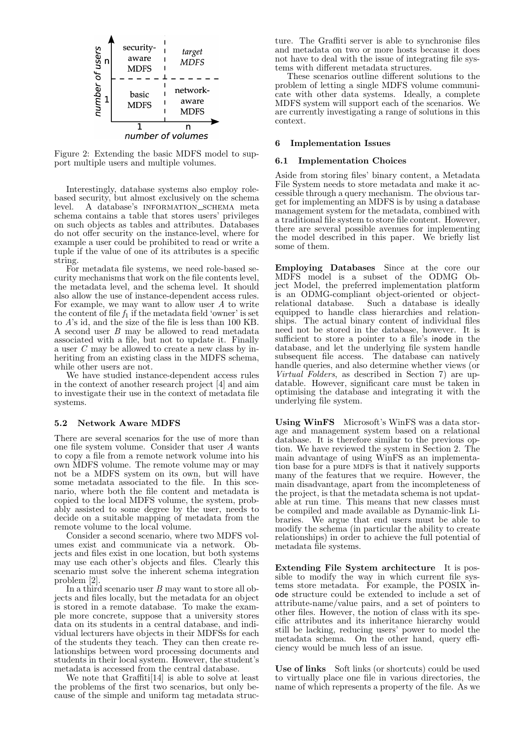

Figure 2: Extending the basic MDFS model to support multiple users and multiple volumes.

Interestingly, database systems also employ rolebased security, but almost exclusively on the schema level. A database's information schema meta schema contains a table that stores users' privileges on such objects as tables and attributes. Databases do not offer security on the instance-level, where for example a user could be prohibited to read or write a tuple if the value of one of its attributes is a specific string.

For metadata file systems, we need role-based security mechanisms that work on the file contents level, the metadata level, and the schema level. It should also allow the use of instance-dependent access rules. For example, we may want to allow user  $A$  to write the content of file  $f_1$  if the metadata field 'owner' is set to A's id, and the size of the file is less than 100 KB. A second user B may be allowed to read metadata associated with a file, but not to update it. Finally a user C may be allowed to create a new class by inheriting from an existing class in the MDFS schema, while other users are not.

We have studied instance-dependent access rules in the context of another research project [4] and aim to investigate their use in the context of metadata file systems.

## 5.2 Network Aware MDFS

There are several scenarios for the use of more than one file system volume. Consider that user A wants to copy a file from a remote network volume into his own MDFS volume. The remote volume may or may not be a MDFS system on its own, but will have some metadata associated to the file. In this scenario, where both the file content and metadata is copied to the local MDFS volume, the system, probably assisted to some degree by the user, needs to decide on a suitable mapping of metadata from the remote volume to the local volume.

Consider a second scenario, where two MDFS volumes exist and communicate via a network. Objects and files exist in one location, but both systems may use each other's objects and files. Clearly this scenario must solve the inherent schema integration problem [2].

In a third scenario user B may want to store all objects and files locally, but the metadata for an object is stored in a remote database. To make the example more concrete, suppose that a university stores data on its students in a central database, and individual lecturers have objects in their MDFSs for each of the students they teach. They can then create relationships between word processing documents and students in their local system. However, the student's metadata is accessed from the central database.

We note that Graffiti[14] is able to solve at least the problems of the first two scenarios, but only because of the simple and uniform tag metadata structure. The Graffiti server is able to synchronise files and metadata on two or more hosts because it does not have to deal with the issue of integrating file systems with different metadata structures.

These scenarios outline different solutions to the problem of letting a single MDFS volume communicate with other data systems. Ideally, a complete MDFS system will support each of the scenarios. We are currently investigating a range of solutions in this context.

## 6 Implementation Issues

#### 6.1 Implementation Choices

Aside from storing files' binary content, a Metadata File System needs to store metadata and make it accessible through a query mechanism. The obvious target for implementing an MDFS is by using a database management system for the metadata, combined with a traditional file system to store file content. However, there are several possible avenues for implementing the model described in this paper. We briefly list some of them.

Employing Databases Since at the core our MDFS model is a subset of the ODMG Object Model, the preferred implementation platform is an ODMG-compliant object-oriented or object-Such a database is ideally equipped to handle class hierarchies and relationships. The actual binary content of individual files need not be stored in the database, however. It is sufficient to store a pointer to a file's inode in the database, and let the underlying file system handle subsequent file access. The database can natively handle queries, and also determine whether views (or Virtual Folders, as described in Section 7) are updatable. However, significant care must be taken in optimising the database and integrating it with the underlying file system.

Using WinFS Microsoft's WinFS was a data storage and management system based on a relational database. It is therefore similar to the previous option. We have reviewed the system in Section 2. The main advantage of using WinFS as an implementation base for a pure MDFS is that it natively supports many of the features that we require. However, the main disadvantage, apart from the incompleteness of the project, is that the metadata schema is not updatable at run time. This means that new classes must be compiled and made available as Dynamic-link Libraries. We argue that end users must be able to modify the schema (in particular the ability to create relationships) in order to achieve the full potential of metadata file systems.

Extending File System architecture It is possible to modify the way in which current file systems store metadata. For example, the POSIX inode structure could be extended to include a set of attribute-name/value pairs, and a set of pointers to other files. However, the notion of class with its specific attributes and its inheritance hierarchy would still be lacking, reducing users' power to model the metadata schema. On the other hand, query efficiency would be much less of an issue.

Use of links Soft links (or shortcuts) could be used to virtually place one file in various directories, the name of which represents a property of the file. As we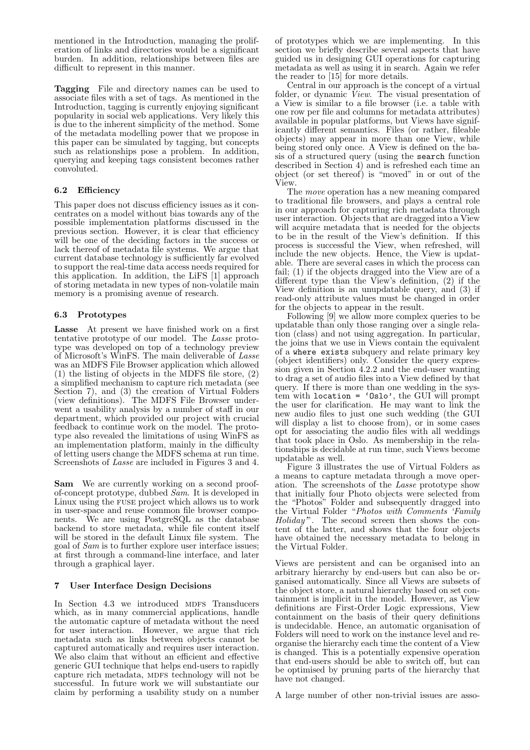mentioned in the Introduction, managing the proliferation of links and directories would be a significant burden. In addition, relationships between files are difficult to represent in this manner.

Tagging File and directory names can be used to associate files with a set of tags. As mentioned in the Introduction, tagging is currently enjoying significant popularity in social web applications. Very likely this is due to the inherent simplicity of the method. Some of the metadata modelling power that we propose in this paper can be simulated by tagging, but concepts such as relationships pose a problem. In addition, querying and keeping tags consistent becomes rather convoluted.

# 6.2 Efficiency

This paper does not discuss efficiency issues as it concentrates on a model without bias towards any of the possible implementation platforms discussed in the previous section. However, it is clear that efficiency will be one of the deciding factors in the success or lack thereof of metadata file systems. We argue that current database technology is sufficiently far evolved to support the real-time data access needs required for this application. In addition, the LiFS [1] approach of storing metadata in new types of non-volatile main memory is a promising avenue of research.

# 6.3 Prototypes

Lasse At present we have finished work on a first tentative prototype of our model. The Lasse prototype was developed on top of a technology preview of Microsoft's WinFS. The main deliverable of Lasse was an MDFS File Browser application which allowed (1) the listing of objects in the MDFS file store, (2) a simplified mechanism to capture rich metadata (see Section 7), and (3) the creation of Virtual Folders (view definitions). The MDFS File Browser underwent a usability analysis by a number of staff in our department, which provided our project with crucial feedback to continue work on the model. The prototype also revealed the limitations of using WinFS as an implementation platform, mainly in the difficulty of letting users change the MDFS schema at run time. Screenshots of Lasse are included in Figures 3 and 4.

Sam We are currently working on a second proofof-concept prototype, dubbed  $Sam$ . It is developed in Linux using the fuse project which allows us to work in user-space and reuse common file browser components. We are using PostgreSQL as the database backend to store metadata, while file content itself will be stored in the default Linux file system. The goal of Sam is to further explore user interface issues; at first through a command-line interface, and later through a graphical layer.

# 7 User Interface Design Decisions

In Section 4.3 we introduced MDFS Transducers which, as in many commercial applications, handle the automatic capture of metadata without the need for user interaction. However, we argue that rich metadata such as links between objects cannot be captured automatically and requires user interaction. We also claim that without an efficient and effective generic GUI technique that helps end-users to rapidly capture rich metadata, MDFS technology will not be successful. In future work we will substantiate our claim by performing a usability study on a number of prototypes which we are implementing. In this section we briefly describe several aspects that have guided us in designing GUI operations for capturing metadata as well as using it in search. Again we refer the reader to [15] for more details.

Central in our approach is the concept of a virtual folder, or dynamic *View*. The visual presentation of a View is similar to a file browser (i.e. a table with one row per file and columns for metadata attributes) available in popular platforms, but Views have significantly different semantics. Files (or rather, fileable objects) may appear in more than one View, while being stored only once. A View is defined on the basis of a structured query (using the search function described in Section 4) and is refreshed each time an object (or set thereof) is "moved" in or out of the View.

The move operation has a new meaning compared to traditional file browsers, and plays a central role in our approach for capturing rich metadata through user interaction. Objects that are dragged into a View will acquire metadata that is needed for the objects to be in the result of the View's definition. If this process is successful the View, when refreshed, will include the new objects. Hence, the View is updatable. There are several cases in which the process can fail; (1) if the objects dragged into the View are of a different type than the View's definition, (2) if the View definition is an unupdatable query, and (3) if read-only attribute values must be changed in order for the objects to appear in the result.

Following [9] we allow more complex queries to be updatable than only those ranging over a single relation (class) and not using aggregation. In particular, the joins that we use in Views contain the equivalent of a where exists subquery and relate primary key (object identifiers) only. Consider the query expression given in Section 4.2.2 and the end-user wanting to drag a set of audio files into a View defined by that query. If there is more than one wedding in the system with location =  $'Oslo'$ , the GUI will prompt the user for clarification. He may want to link the new audio files to just one such wedding (the GUI will display a list to choose from), or in some cases opt for associating the audio files with all weddings that took place in Oslo. As membership in the relationships is decidable at run time, such Views become updatable as well.

Figure 3 illustrates the use of Virtual Folders as a means to capture metadata through a move operation. The screenshots of the Lasse prototype show that initially four Photo objects were selected from the "Photos" Folder and subsequently dragged into the Virtual Folder "Photos with Comments 'Family Holiday'". The second screen then shows the content of the latter, and shows that the four objects have obtained the necessary metadata to belong in the Virtual Folder.

Views are persistent and can be organised into an arbitrary hierarchy by end-users but can also be organised automatically. Since all Views are subsets of the object store, a natural hierarchy based on set containment is implicit in the model. However, as View definitions are First-Order Logic expressions, View containment on the basis of their query definitions is undecidable. Hence, an automatic organisation of Folders will need to work on the instance level and reorganise the hierarchy each time the content of a View is changed. This is a potentially expensive operation that end-users should be able to switch off, but can be optimised by pruning parts of the hierarchy that have not changed.

A large number of other non-trivial issues are asso-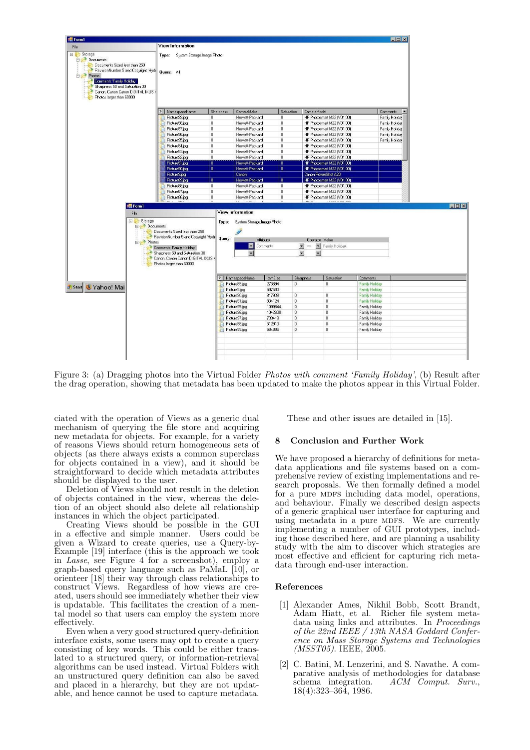

Figure 3: (a) Dragging photos into the Virtual Folder Photos with comment 'Family Holiday', (b) Result after the drag operation, showing that metadata has been updated to make the photos appear in this Virtual Folder.

ciated with the operation of Views as a generic dual mechanism of querying the file store and acquiring new metadata for objects. For example, for a variety of reasons Views should return homogeneous sets of objects (as there always exists a common superclass for objects contained in a view), and it should be straightforward to decide which metadata attributes should be displayed to the user.

Deletion of Views should not result in the deletion of objects contained in the view, whereas the deletion of an object should also delete all relationship instances in which the object participated.

Creating Views should be possible in the GUI in a effective and simple manner. Users could be given a Wizard to create queries, use a Query-by-Example [19] interface (this is the approach we took in Lasse, see Figure 4 for a screenshot), employ a graph-based query language such as PaMaL [10], or orienteer [18] their way through class relationships to construct Views. Regardless of how views are created, users should see immediately whether their view is updatable. This facilitates the creation of a mental model so that users can employ the system more effectively.

Even when a very good structured query-definition interface exists, some users may opt to create a query consisting of key words. This could be either translated to a structured query, or information-retrieval algorithms can be used instead. Virtual Folders with an unstructured query definition can also be saved and placed in a hierarchy, but they are not updatable, and hence cannot be used to capture metadata. These and other issues are detailed in [15].

# 8 Conclusion and Further Work

We have proposed a hierarchy of definitions for metadata applications and file systems based on a comprehensive review of existing implementations and research proposals. We then formally defined a model for a pure MDFS including data model, operations, and behaviour. Finally we described design aspects of a generic graphical user interface for capturing and using metadata in a pure MDFS. We are currently implementing a number of GUI prototypes, including those described here, and are planning a usability study with the aim to discover which strategies are most effective and efficient for capturing rich metadata through end-user interaction.

## References

- [1] Alexander Ames, Nikhil Bobb, Scott Brandt, Adam Hiatt, et al. Richer file system metadata using links and attributes. In Proceedings of the 22nd IEEE / 13th NASA Goddard Conference on Mass Storage Systems and Technologies (MSST05). IEEE, 2005.
- [2] C. Batini, M. Lenzerini, and S. Navathe. A comparative analysis of methodologies for database schema integration. ACM Comput. Surv., 18(4):323–364, 1986.